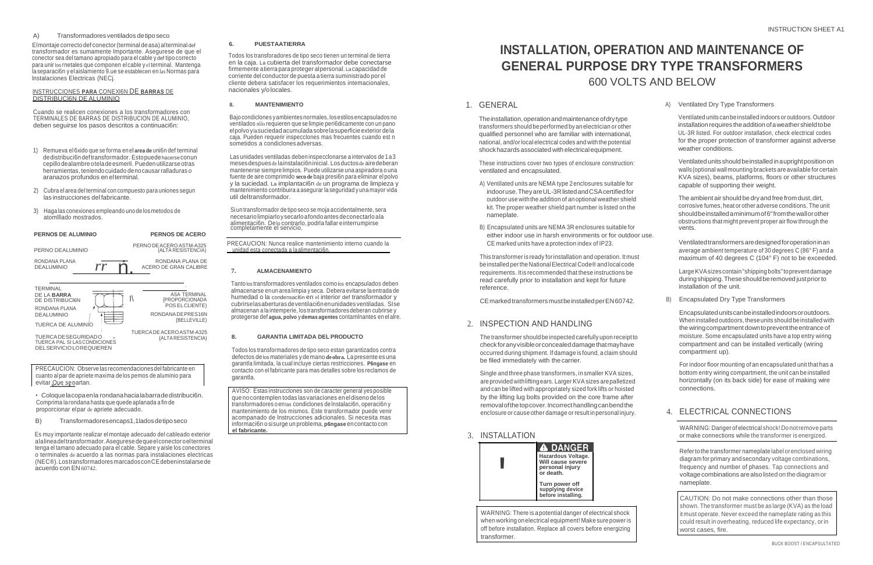PRECAUCION: Observe las recomendacionesdel fabricante en cuanto al par de apriete maxima de los pemos de aluminio para evitar Que separtan.

#### A) Transformadores ventilados detiposeco

Elmontaje correcto def conector(terminal deasa) alterminal def transformador es sumamente lmportante. Asegurese de que el conector sea del tamano apropiado para el cable y def tipo correcto para unir los rnetales que componen el cable y el terminal. Mantenga la separaci6n y el aislamiento 9.ue se establecen en las Normas para lnstalaciones Electricas (NECj.

#### INSTRUCCIONES **PARA** CONEXl6N DE **BARRAS** DE DISTRIBUCl6N DE ALUMINIO

#### **6. PUESTAATIERRA**

Todos los transforadores de tipo seco tienen un terminal de tierra en la caja. La cubierta del transformador debe conectarse firmemente atierra paraproteger alpersonal. Lacapacidad de corriente del conductor de puesta atierra suministrado por el cliente debera satisfacer los requerimientos intemacionales, nacionales y/olocales.

# **INSTALLATION, OPERATION AND MAINTENANCE OF GENERAL PURPOSE DRY TYPE TRANSFORMERS**  600 VOLTS AND BELOW

Cuando se realicen conexiones a los transformadores con TERMINALES DE BARRAS DE DISTRIBUCION DE ALUMINIO, deben seguirse los pasos descritos a continuaci6n:

The installation, operation and maintenance of dry type transformers shouldbeperformed by anelectrician orother qualified personnel who are familiar with international, national, and/orlocal electrical codes and withthepotential shockhazards associated withelectricalequipment.

- 1) Remueva el 6xido que se forma en el **area de** uni6n def terminal dedistribuci6n deftransformador. Estopuedehacerseconun cepillo dealambre oteladeesmeril. Pueden utilizarse otras herramientas, teniendo cuidado denocausarralladuras o aranazos profundos en elterminal.
- 2) Cubra el area del terminal con compuesto para uniones segun las instrucciones del fabricante.
- 3) Haga las conexiones empleando uno de losmetodos de atomlllado mostrados.

#### **8. MANTENIMIENTO**

Bajocondiclones yambientes normales, losestilosencapsulados no ventilados s6lo requieren que se limpie peri6dicamente con un pano elpolvoylasuciedad acumulada sobrelasuperficie exterior dela caja. Pueden requerir inspecclones mas frecuentes cuando est n sometidos a condiclones adversas.

> Ventilated units should be installed in a upright position on walls (optional wallmounting brackets areavailable for certain KVA sizes), beams, platforms, floors or other structures capable of supporting their weight.

The ambient air should be dry and free from dust, dirt, corrosive fumes, heat orother adverse conditions. The unit shouldbeinstalledaminimumof6"fromthewallorother obstructions that might prevent proper airflow through the vents.

Las unidades ventiladas deben inspecclonarse a intervalos de 1a 3 mesesdespues de lainstalaci6ninicial. Losductosde airedeberan mantenerse siempre limpios. Puede utilizarse una aspiradora o una fuente de aire comprimido **seco de** baja presi6n para eliminar el polvo y la suciedad. La implantaci6n de un programa de limpieza y mantenimiento contribuira a asegurar la seguridad yuna mayor vida util deltransformador.

> CE marked units have a protection index of IP23. Ventilated transformers are designed for operation in an average ambient temperature of 30 degrees C (86° F) and a maximum of 40 degrees C (104° F) not to be exceeded.

Siun transformador de tipo seco se moja accidentalmente, sera necesariolimpiarloysecarloafondoantes deconectarlo ala alimentaci6n. Delo contrarlo, podrla fallar einterrumpirse completamente el servicio.

# 1. GENERAL

TUERCA DE ACERO ASTM-A325 {ALTA RESISTENCIA)

These instructions cover two types of enclosure construction: ventilated and encapsulated.

The transformer should be inspected carefully upon receipt to check for any visible or concealed damage that may have occurred during shipment. If damage is found, aclaim should be filed immediately with the carrier.

- A) Ventilated units are NEMA type 2enclosures suitable for indooruse.TheyareUL-3RlistedandCSAcertifiedfor outdoor use with the addition of an optional weather shield kit. The proper weather shield part number is listed on the nameplate.
- B) Encapsulated units are NEMA 3R enclosures suitable for

A) Ventilated Dry Type Transformers

Ventilated unitscanbeinstalled indoors oroutdoors.Outdoor installation requires the addition of a weather shield to be UL-3R listed. For outdoor installation, check electrical codes for the proper protection of transformer against adverse weather conditions.

PRECAUCION: Nunca realice mantenimiento interno cuando la unidad esta conectada a laalimentaci6n.

#### **PERNO\$ DE ALUMINIO PERNOS DE ACERO PERIOS <b>PERIOS EXECUTATIVE ENCICLE EXECUTATIVE ENGLISHED either indoor use in harsh environments or for outdoor use.** PERNO DEALUMINIO PERNO DEACERO ASTM-A325 (ALTA RESISTENCIA) RONDANA PLANA DEALUMINIO **TERMINAL** *rr* n • . RONDANA PLANA DE ACERO DE GRAN CALIBRE - DE LA **BARRA** DE DISTRIBUCI6N RONDANA PLANA ASA TERMINAL {PROPORCIONADA POS ELCLIENTE) I\

#### **7. ALMACENAMIENTO**

This transformer is ready forinstallation and operation. It must beinstalled perthe National Electrical Code® andlocal code requirements. Itis recommended that these instructions be read carefully prior to installation and kept for future reference.

CE marked transformers must be installed per EN60742.

# 2. INSPECTION AND HANDLING

LargeKVAsizescontain"shipping bolts"toprevent damage during shipping. These should be removed just prior to installation of the unit.

Tanto los transformadores ventilados como los encapsulados deben almacenarse enun area limpia y seca. Debera evitarse laentrada de humedad o la condensación en el interior def transformador y cubrirselasaberturas deventilaci6nenunidades ventiladas. SIse almacenan a la intemperie, los transformadores deberan cubrirse y protegerse def **agua, polvo** y**demas agentes** contamlnantes en el alre.

DEALUMINIO

TUERCA DE ALUMINIO *I* |<br>-- ∴TUERCADESEGURIDADO TUERCA PAL SI LASCONDICIONES DELSERVICIOLOREQUIEREN

RONDANADEPRES16N {BELLEVILLE)

#### **8. GARANTIA LIMITADA DEL PRODUCTO**

Todos los transformadores de tipo seco estan garantizados contra defectos delosmateriales ydemano **deobra.** Lapresente es una garantla limitada, la cual incluye ciertas restricciones. **P6ngase** en contacto con el fabricante para mas detalles sobre los reclamos de garantla.

B) Encapsulated Dry Type Transformers

Encapsulatedunitscanbeinstalledindoorsoroutdoors. Wheninstalled outdoors, theseunits should beinstalled with the wiring compartment down to prevent the entrance of moisture. Some encapsulated units have a top entry wiring compartment and can be installed vertically (wiring compartment up).

For indoor floor mounting of an encapsulated unit that has a bottom entry wiring compartment, the unit can be installed horizontally (on its back side) for ease of making wire connections.

Single and three phase transformers, in smaller KVA sizes, areprovided withliftingears. Larger KVAsizes arepalletized and can be lifted with appropriately sized fork lifts or hoisted by the lifting lug bolts provided on the core frame after removal of the top cover. Incorrect handling can bend the enclosure or cause other damage orresult inpersonal injury.

• Coloquelacopaenla rondanahacialabarradedistribuci6n. Comprima larondana hasta que quede aplanada a fin de proporcionar elpar de apriete adecuado.

B) Transformadoresencaps1,1ladosdetiposeco

Es muy importante realizar el montaje adecuado del cableado exterior alalineadeltransformador.Asegurese dequeelconector oelterminal tenga el tamano adecuado para el cable. Separe y aisle los conectores o terminales de acuerdo a las normas para instalaciones electricas (NEC®).Lostransformadoresmarcados conCEdebeninstalarsede acuerdo con EN 60742.

### 3. INSTALLATION

# 4. ELECTRICAL CONNECTIONS

WARNING: Danger of electrical shock!Donotremove parts or make connections while the transformer is energized.

Refertothe transformer nameplate label orenclosed wiring diagram for primary and secondary voltage combinations, frequency and number of phases. Tap connections and voltagecombinations arealsolistedonthediagramor nameplate.



WARNING: There is apotential danger of electrical shock when working onelectrical equipment! Make surepower is off before installation. Replace all covers before energizing transformer.

CAUTION: Do not make connections other than those shown. The transformer must be as large (KVA) as the load it must operate. Never exceed the nameplate rating as this could result in overheating, reduced life expectancy, orin worst cases, fire.

AVISO: Estas instrucclones son de caracter general yesposible quenocontemplen todas las variaciones enel diseno delos transformadores oenlas condiclones de lnstalaci6n, operaci6n y mantenimiento de los mismos. Este transformador puede venir acompanado de lnstrucciones adicionales. Si necesita mas informaci6n osisurge unproblema, **p6ngase** encontacto con **el fabricante.**